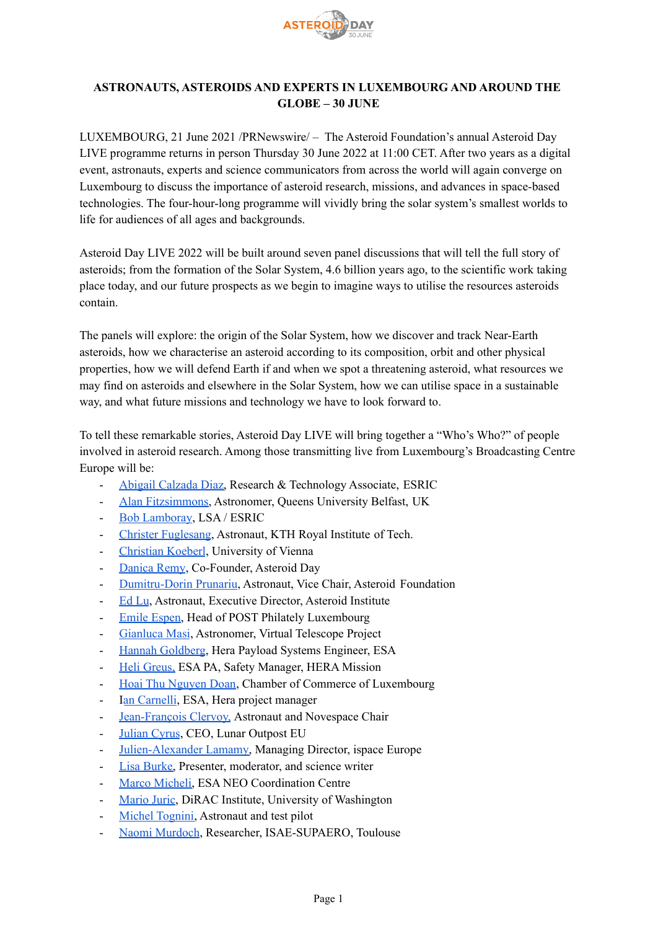

# **ASTRONAUTS, ASTEROIDS AND EXPERTS IN LUXEMBOURG AND AROUND THE GLOBE – 30 JUNE**

LUXEMBOURG, 21 June 2021 /PRNewswire/ – The Asteroid Foundation's annual Asteroid Day LIVE programme returns in person Thursday 30 June 2022 at 11:00 CET. After two years as a digital event, astronauts, experts and science communicators from across the world will again converge on Luxembourg to discuss the importance of asteroid research, missions, and advances in space-based technologies. The four-hour-long programme will vividly bring the solar system's smallest worlds to life for audiences of all ages and backgrounds.

Asteroid Day LIVE 2022 will be built around seven panel discussions that will tell the full story of asteroids; from the formation of the Solar System, 4.6 billion years ago, to the scientific work taking place today, and our future prospects as we begin to imagine ways to utilise the resources asteroids contain.

The panels will explore: the origin of the Solar System, how we discover and track Near-Earth asteroids, how we characterise an asteroid according to its composition, orbit and other physical properties, how we will defend Earth if and when we spot a threatening asteroid, what resources we may find on asteroids and elsewhere in the Solar System, how we can utilise space in a sustainable way, and what future missions and technology we have to look forward to.

To tell these remarkable stories, Asteroid Day LIVE will bring together a "Who's Who?" of people involved in asteroid research. Among those transmitting live from Luxembourg's Broadcasting Centre Europe will be:

- Abigail [Calzada](https://www.linkedin.com/in/abigailcalzada/?originalSubdomain=lu) Diaz, Research & Technology Associate, ESRIC
- Alan [Fitzsimmons,](https://alanfitzsimmons.wordpress.com/) Astronomer, Queens University Belfast, UK
- Bob [Lamboray](https://www.linkedin.com/in/bob-lamboray-72153b1/?originalSubdomain=lu), LSA / ESRIC
- Christer [Fuglesang](https://www.kth.se/profile/cfug), Astronaut, KTH Royal Institute of Tech.
- [Christian](https://www.univie.ac.at/geochemistry/koeberl/) Koeberl, University of Vienna
- [Danica](https://b612foundation.org/members/danica-remy/) Remy, Co-Founder, Asteroid Day
- [Dumitru-Dorin](https://asteroidday.org/people/dr-dorin-prunariu/) Prunariu, Astronaut, Vice Chair, Asteroid Foundation
- [Ed](https://b612foundation.org/members/ed-lu-2/) Lu, Astronaut, Executive Director, Asteroid Institute
- Emile [Espen,](https://www.linkedin.com/in/emile-espen-b8811928/) Head of POST Philately Luxembourg
- [Gianluca](https://www.virtualtelescope.eu/the-author/) Masi, Astronomer, Virtual Telescope Project
- Hannah [Goldberg](https://www.linkedin.com/in/hannah-goldberg-61676032/?originalSubdomain=nl), Hera Payload Systems Engineer, ESA
- Heli [Greus,](https://www.linkedin.com/in/heli-greus-b024671/?originalSubdomain=nl) ESA PA, Safety Manager, HERA Mission
- Hoai Thu [Nguyen](https://asteroidday.org/people/hoai-thu-nguyen-doan/) Doan, Chamber of Commerce of Luxembourg
- Ian [Carnelli](https://www.researchgate.net/profile/Ian-Carnelli), ESA, Hera project manager
- [Jean-François](https://www.esa.int/Science_Exploration/Human_and_Robotic_Exploration/Astronauts/Jean-Francois_Clervoy) Clervoy, Astronaut and Novespace Chair
- [Julian](https://asteroidday.org/people/julian-cyrus/) Cyrus, CEO, Lunar Outpost EU
- [Julien-Alexander](https://www.linkedin.com/in/jalamamy/) Lamamy, Managing Director, ispace Europe
- Lisa [Burke,](https://www.linkedin.com/in/lisa-burke-4272276/?originalSubdomain=lu) Presenter, moderator, and science writer
- Marco [Micheli,](https://www.linkedin.com/in/marco-micheli-4970a927/?locale=en_US) ESA NEO Coordination Centre
- [Mario](https://www.linkedin.com/in/majuric/) Juric, DiRAC Institute, University of Washington
- Michel [Tognini,](https://www.esa.int/Science_Exploration/Human_and_Robotic_Exploration/Astronauts/Michel_Tognini) Astronaut and test pilot
- Naomi [Murdoch,](https://neomapp.eu/steering_committee/naomi-murdoch-2/) Researcher, ISAE-SUPAERO, Toulouse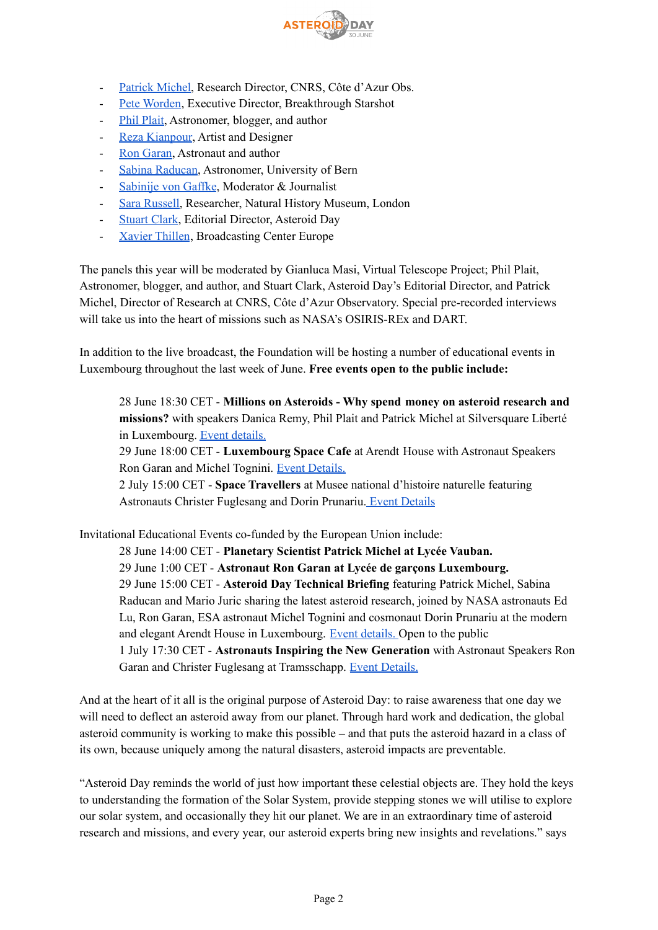

- [Patrick](https://asteroidday.org/people/patrick-michel/) Michel, Research Director, CNRS, Côte d'Azur Obs.
- Pete [Worden](https://www.linkedin.com/in/sworden/), Executive Director, Breakthrough Starshot
- Phil [Plait,](http://www.badastronomy.com/info/whois.html) Astronomer, blogger, and author
- Reza [Kianpour](https://kianpourandpartners.com/about), Artist and Designer
- Ron [Garan,](https://www.rongaran.com/) Astronaut and author
- Sabina [Raducan](https://www.linkedin.com/in/sabina-raducan-bb511a71/?originalSubdomain=uk), Astronomer, University of Bern
- [Sabinije](https://www.linkedin.com/in/sabinije-von-gaffke-76713058/?originalSubdomain=uk) von Gaffke, Moderator & Journalist
- Sara [Russell,](https://www.nhm.ac.uk/our-science/departments-and-staff/staff-directory/sara-russell.html) Researcher, Natural History Museum, London
- [Stuart](http://www.stuartclark.com/) Clark, Editorial Director, Asteroid Day
- Xavier [Thillen](https://www.linkedin.com/in/thillen/?originalSubdomain=lu), Broadcasting Center Europe

The panels this year will be moderated by Gianluca Masi, Virtual Telescope Project; Phil Plait, Astronomer, blogger, and author, and Stuart Clark, Asteroid Day's Editorial Director, and Patrick Michel, Director of Research at CNRS, Côte d'Azur Observatory. Special pre-recorded interviews will take us into the heart of missions such as NASA's OSIRIS-REx and DART.

In addition to the live broadcast, the Foundation will be hosting a number of educational events in Luxembourg throughout the last week of June. **Free events open to the public include:**

28 June 18:30 CET - **Millions on Asteroids - Why spend money on asteroid research and missions?** with speakers Danica Remy, Phil Plait and Patrick Michel at Silversquare Liberté in Luxembourg. Event [details.](https://www.eventbrite.com/e/millions-on-asteroids-tickets-361686864147?aff=ebdssbdestsearch)

29 June 18:00 CET - **Luxembourg Space Cafe** at Arendt House with Astronaut Speakers Ron Garan and Michel Tognini. Event [Details.](https://www.eventbrite.com/e/space-cafe-luxembourg-registration-359614435457?aff=ebdssbdestsearch&keep_tld=1)

2 July 15:00 CET - **Space Travellers** at Musee national d'histoire naturelle featuring Astronauts Christer Fuglesang and Dorin Prunariu. Event [Details](https://www.eventbrite.fr/e/billets-space-travelers-at-national-museum-of-natural-history-asteroid-day-365958932017)

Invitational Educational Events co-funded by the European Union include:

28 June 14:00 CET - **Planetary Scientist Patrick Michel at Lycée Vauban.** 29 June 1:00 CET - **Astronaut Ron Garan at Lycée de garçons Luxembourg.** 29 June 15:00 CET - **Asteroid Day Technical Briefing** featuring Patrick Michel, Sabina Raducan and Mario Juric sharing the latest asteroid research, joined by NASA astronauts Ed Lu, Ron Garan, ESA astronaut Michel Tognini and cosmonaut Dorin Prunariu at the modern and elegant Arendt House in Luxembourg. Event [details.](https://www.eventbrite.com/e/asteroid-day-technical-briefing-tickets-338916968777) Open to the public 1 July 17:30 CET - **Astronauts Inspiring the New Generation** with Astronaut Speakers Ron Garan and Christer Fuglesang at Tramsschapp. Event [Details.](https://www.eventbrite.com/e/astronauts-inspiring-the-new-generation-tickets-363013121017)

And at the heart of it all is the original purpose of Asteroid Day: to raise awareness that one day we will need to deflect an asteroid away from our planet. Through hard work and dedication, the global asteroid community is working to make this possible – and that puts the asteroid hazard in a class of its own, because uniquely among the natural disasters, asteroid impacts are preventable.

"Asteroid Day reminds the world of just how important these celestial objects are. They hold the keys to understanding the formation of the Solar System, provide stepping stones we will utilise to explore our solar system, and occasionally they hit our planet. We are in an extraordinary time of asteroid research and missions, and every year, our asteroid experts bring new insights and revelations." says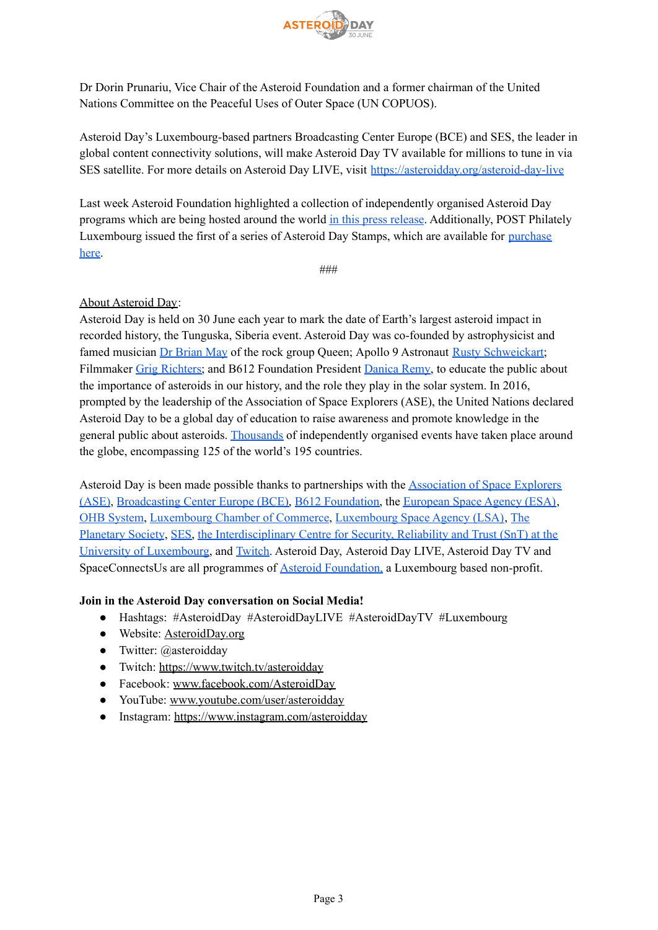

Dr Dorin Prunariu, Vice Chair of the Asteroid Foundation and a former chairman of the United Nations Committee on the Peaceful Uses of Outer Space (UN COPUOS).

Asteroid Day's Luxembourg-based partners Broadcasting Center Europe (BCE) and SES, the leader in global content connectivity solutions, will make Asteroid Day TV available for millions to tune in via SES satellite. For more details on Asteroid Day LIVE, visit [https://asteroidday.org/asteroid-day-live](https://asteroidday.org/asteroid-day-live/#hash_filters=2022)

Last week Asteroid Foundation highlighted a collection of independently organised Asteroid Day programs which are being hosted around the world in this press [release](https://asteroidday.org/news-updates/asteroid-educators-students-and-asteroid-experts-celebrate-asteroid-day-around-the-globe-30-june/). Additionally, POST Philately Luxembourg issued the first of a series of Asteroid Day Stamps, which are available for [purchase](https://www.postphilately.lu/fr-FR/products/collectionneurs/timbres-de-collection/asteroid-day-defense-2022) [here.](https://www.postphilately.lu/fr-FR/products/collectionneurs/timbres-de-collection/asteroid-day-defense-2022)

###

# About [Asteroid](https://asteroidday.org/) Day:

Asteroid Day is held on 30 June each year to mark the date of Earth's largest asteroid impact in recorded history, the Tunguska, Siberia event. Asteroid Day was co-founded by astrophysicist and famed musician Dr [Brian](https://brianmay.com/brian/biog.html) May of the rock group Queen; Apollo 9 Astronaut Rusty [Schweickart;](https://www.rustyschweickart.com/bio) Filmmaker Grig [Richters;](https://filmsunited.co/about/) and B612 Foundation President [Danica](https://b612foundation.org/members/danica-remy/) Remy, to educate the public about the importance of asteroids in our history, and the role they play in the solar system. In 2016, prompted by the leadership of the Association of Space Explorers (ASE), the United Nations declared Asteroid Day to be a global day of education to raise awareness and promote knowledge in the general public about asteroids. [Thousands](https://asteroidday.org/events/?tribe_eventcategory=2&tribe_event_display=past) of independently organised events have taken place around the globe, encompassing 125 of the world's 195 countries.

Asteroid Day is been made possible thanks to partnerships with the [Association](http://www.space-explorers.org/) of Space Explorers [\(ASE\)](http://www.space-explorers.org/), [Broadcasting](http://www.bce.lu/) Center Europe (BCE), B612 [Foundation,](http://b612foundation.org/) the [European](https://www.esa.int/) Space Agency (ESA), OHB [System](https://www.ohb-system.de/main-company.html), [Luxembourg](https://www.cc.lu/accueil/) Chamber of Commerce, [Luxembourg](https://space-agency.public.lu/) Space Agency (LSA), [The](https://www.planetary.org/) [Planetary](https://www.planetary.org/) Society, [SES,](https://www.ses.com/) the [Interdisciplinary](https://wwwen.uni.lu/snt) Centre for Security, Reliability and Trust (SnT) at the University of [Luxembourg,](https://wwwen.uni.lu/snt) and [Twitch](https://www.twitch.tv/). Asteroid Day, Asteroid Day LIVE, Asteroid Day TV and SpaceConnectsUs are all programmes of Asteroid [Foundation,](https://asteroidfoundation.org/) a Luxembourg based non-profit.

# **Join in the Asteroid Day conversation on Social Media!**

- Hashtags: #AsteroidDay #AsteroidDayLIVE #AsteroidDayTV #Luxembourg
- Website: [AsteroidDay.org](https://asteroidday.org/)
- Twitter: @asteroidday
- Twitch: [https://www.twitch.tv/asteroidday](https://eur01.safelinks.protection.outlook.com/?url=https%3A%2F%2Fmailtrack.io%2Ftrace%2Flink%2F1d926b0f0225d8d6f1aaf37b8e2c65cf27e96e7d%3Furl%3Dhttps%253A%252F%252Fwww.twitch.tv%252Fasteroidday%26userId%3D4556005%26signature%3Dc0f42b21933a2918&data=02%7C01%7CXavier_Thillen%40bce.lu%7Ccc06a2ef67694e526c3208d800e6def1%7C8d237650cdc140e1899c5601e055f3fe%7C0%7C0%7C637260338879534761&sdata=%2FqFrlYendkwVMa4TJc6XrHrp0YCsj2OD9oWzLZKOP%2Bc%3D&reserved=0)
- Facebook: [www.facebook.com/AsteroidDay](http://www.facebook.com/AsteroidDay)
- YouTube: [www.youtube.com/user/asteroidday](https://www.youtube.com/user/asteroidday)
- Instagram: <https://www.instagram.com/asteroidday>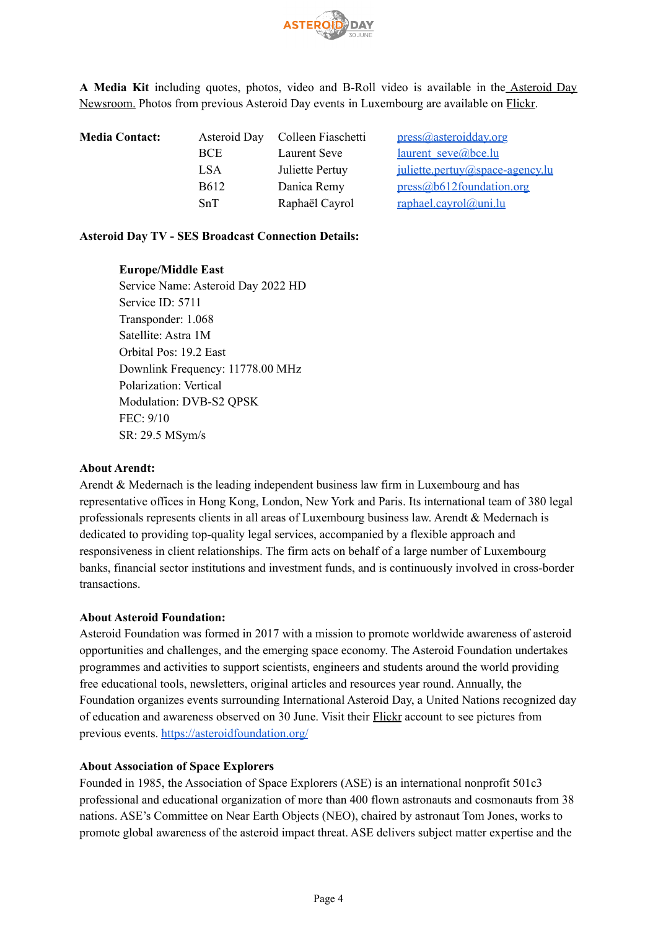

**A Media Kit** including quotes, photos, video and B-Roll video is available in the [Asteroid](https://asteroidday.org/resources/asteroid-day-press-kit/) Day [Newsroom.](https://asteroidday.org/resources/asteroid-day-press-kit/) Photos from previous Asteroid Day events in Luxembourg are available on [Flickr.](https://www.flickr.com/photos/182871239@N02/albums)

| <b>Media Contact:</b> | Asteroid Day | Colleen Fiaschetti | press@asteroidday.org                     |
|-----------------------|--------------|--------------------|-------------------------------------------|
|                       | <b>BCE</b>   | Laurent Seve       | $l$ aurent seve@bce.lu                    |
|                       | LSA          | Juliette Pertuy    | $i$ <u>uliette.pertuv@space-agency.lu</u> |
|                       | <b>B612</b>  | Danica Remy        | press@b612foundation.org                  |
|                       | SnT          | Raphaël Cayrol     | $raphael.cayrol@uni.lu$                   |

### **Asteroid Day TV - SES Broadcast Connection Details:**

### **Europe/Middle East**

Service Name: Asteroid Day 2022 HD Service ID: 5711 Transponder: 1.068 Satellite: Astra 1M Orbital Pos: 19.2 East Downlink Frequency: 11778.00 MHz Polarization: Vertical Modulation: DVB-S2 QPSK FEC: 9/10 SR: 29.5 MSym/s

### **About Arendt:**

Arendt & Medernach is the leading independent business law firm in Luxembourg and has representative offices in Hong Kong, London, New York and Paris. Its international team of 380 legal professionals represents clients in all areas of Luxembourg business law. Arendt & Medernach is dedicated to providing top-quality legal services, accompanied by a flexible approach and responsiveness in client relationships. The firm acts on behalf of a large number of Luxembourg banks, financial sector institutions and investment funds, and is continuously involved in cross-border transactions.

### **About Asteroid Foundation:**

Asteroid Foundation was formed in 2017 with a mission to promote worldwide awareness of asteroid opportunities and challenges, and the emerging space economy. The Asteroid Foundation undertakes programmes and activities to support scientists, engineers and students around the world providing free educational tools, newsletters, original articles and resources year round. Annually, the Foundation organizes events surrounding International Asteroid Day, a United Nations recognized day of education and awareness observed on 30 June. Visit their [Flickr](https://www.flickr.com/photos/182871239@N02/albums) account to see pictures from previous events. <https://asteroidfoundation.org/>

### **About Association of Space Explorers**

Founded in 1985, the Association of Space Explorers (ASE) is an international nonprofit 501c3 professional and educational organization of more than 400 flown astronauts and cosmonauts from 38 nations. ASE's Committee on Near Earth Objects (NEO), chaired by astronaut Tom Jones, works to promote global awareness of the asteroid impact threat. ASE delivers subject matter expertise and the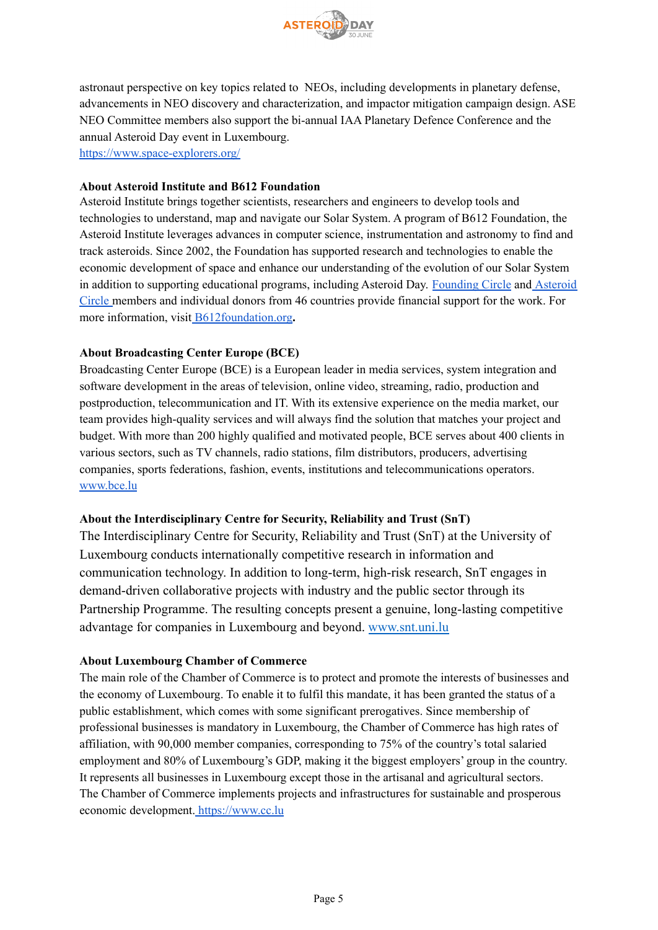

astronaut perspective on key topics related to NEOs, including developments in planetary defense, advancements in NEO discovery and characterization, and impactor mitigation campaign design. ASE NEO Committee members also support the bi-annual IAA Planetary Defence Conference and the annual Asteroid Day event in Luxembourg. <https://www.space-explorers.org/>

### **About Asteroid Institute and B612 Foundation**

Asteroid Institute brings together scientists, researchers and engineers to develop tools and technologies to understand, map and navigate our Solar System. A program of B612 Foundation, the Asteroid Institute leverages advances in computer science, instrumentation and astronomy to find and track asteroids. Since 2002, the Foundation has supported research and technologies to enable the economic development of space and enhance our understanding of the evolution of our Solar System in addition to supporting educational programs, including Asteroid Day. [Founding](https://b612foundation.org/our-team/#hash_filters=founding-circle) Circle and [Asteroid](https://b612foundation.org/our-team/#hash_filters=asteroid-circle) [Circle](https://b612foundation.org/our-team/#hash_filters=asteroid-circle) members and individual donors from 46 countries provide financial support for the work. For more information, visit [B612foundation.org](https://b612foundation.org/)**.**

# **About Broadcasting Center Europe (BCE)**

Broadcasting Center Europe (BCE) is a European leader in media services, system integration and software development in the areas of television, online video, streaming, radio, production and postproduction, telecommunication and IT. With its extensive experience on the media market, our team provides high-quality services and will always find the solution that matches your project and budget. With more than 200 highly qualified and motivated people, BCE serves about 400 clients in various sectors, such as TV channels, radio stations, film distributors, producers, advertising companies, sports federations, fashion, events, institutions and telecommunications operators. [www.bce.lu](http://www.bce.lu/)

# **About the Interdisciplinary Centre for Security, Reliability and Trust (SnT)**

The Interdisciplinary Centre for Security, Reliability and Trust (SnT) at the University of Luxembourg conducts internationally competitive research in information and communication technology. In addition to long-term, high-risk research, SnT engages in demand-driven collaborative projects with industry and the public sector through its Partnership Programme. The resulting concepts present a genuine, long-lasting competitive advantage for companies in Luxembourg and beyond. [www.snt.uni.lu](http://www.snt.uni.lu/)

### **About Luxembourg Chamber of Commerce**

The main role of the Chamber of Commerce is to protect and promote the interests of businesses and the economy of Luxembourg. To enable it to fulfil this mandate, it has been granted the status of a public establishment, which comes with some significant prerogatives. Since membership of professional businesses is mandatory in Luxembourg, the Chamber of Commerce has high rates of affiliation, with 90,000 member companies, corresponding to 75% of the country's total salaried employment and 80% of Luxembourg's GDP, making it the biggest employers' group in the country. It represents all businesses in Luxembourg except those in the artisanal and agricultural sectors. The Chamber of Commerce implements projects and infrastructures for sustainable and prosperous economic development. [https://www.cc.lu](https://www.cc.lu/)